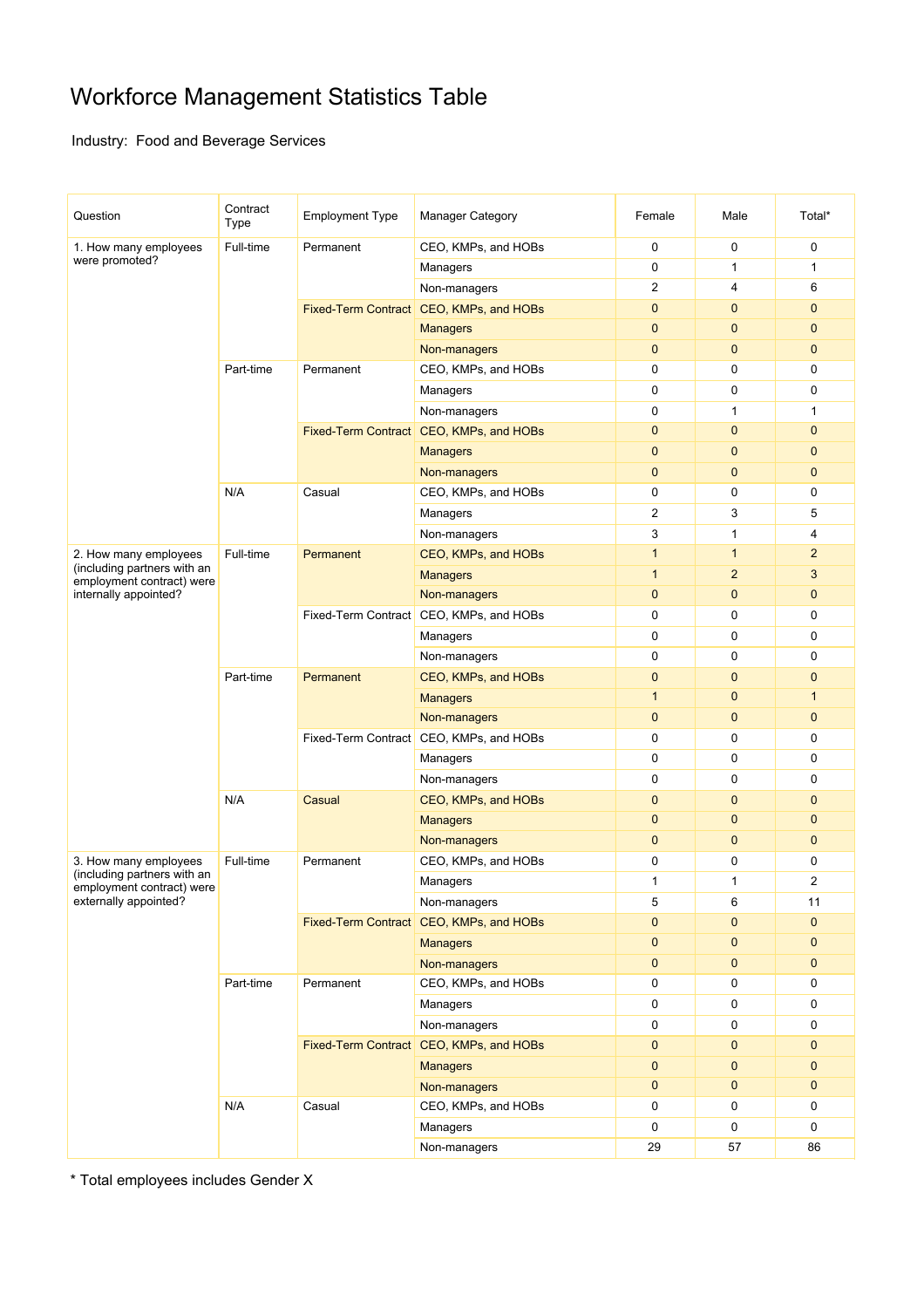## Workforce Management Statistics Table

Industry: Food and Beverage Services

| Question                                                                          | Contract<br>Type | <b>Employment Type</b>                  | <b>Manager Category</b>                 | Female         | Male           | Total*         |
|-----------------------------------------------------------------------------------|------------------|-----------------------------------------|-----------------------------------------|----------------|----------------|----------------|
| 1. How many employees<br>were promoted?                                           | Full-time        | Permanent                               | CEO, KMPs, and HOBs                     | $\mathbf 0$    | 0              | $\mathbf 0$    |
|                                                                                   |                  |                                         | Managers                                | 0              | $\mathbf{1}$   | $\mathbf{1}$   |
|                                                                                   |                  |                                         | Non-managers                            | $\overline{2}$ | $\overline{4}$ | 6              |
|                                                                                   |                  |                                         | Fixed-Term Contract CEO, KMPs, and HOBs | $\mathbf{0}$   | $\mathbf{0}$   | $\mathbf{0}$   |
|                                                                                   |                  |                                         | <b>Managers</b>                         | $\mathbf{0}$   | $\mathbf{0}$   | $\mathbf{0}$   |
|                                                                                   |                  |                                         | Non-managers                            | $\mathbf{0}$   | $\mathbf{0}$   | $\mathbf 0$    |
|                                                                                   | Part-time        | Permanent                               | CEO, KMPs, and HOBs                     | $\pmb{0}$      | 0              | 0              |
|                                                                                   |                  |                                         | Managers                                | 0              | 0              | 0              |
|                                                                                   |                  |                                         | Non-managers                            | $\mathbf 0$    | $\mathbf{1}$   | 1              |
|                                                                                   |                  |                                         | Fixed-Term Contract CEO, KMPs, and HOBs | $\mathbf 0$    | $\mathbf{0}$   | $\mathbf{0}$   |
|                                                                                   |                  |                                         | <b>Managers</b>                         | $\mathbf 0$    | $\mathbf{0}$   | $\mathbf{0}$   |
|                                                                                   |                  |                                         | Non-managers                            | $\mathbf 0$    | $\mathbf{0}$   | $\mathbf{0}$   |
|                                                                                   | N/A              | Casual                                  | CEO, KMPs, and HOBs                     | 0              | 0              | 0              |
|                                                                                   |                  |                                         | Managers                                | 2              | 3              | 5              |
|                                                                                   |                  |                                         | Non-managers                            | 3              | $\mathbf{1}$   | 4              |
| 2. How many employees                                                             | Full-time        | Permanent                               | CEO, KMPs, and HOBs                     | $\overline{1}$ | $\mathbf{1}$   | $\overline{2}$ |
| (including partners with an<br>employment contract) were                          |                  |                                         | <b>Managers</b>                         | $\overline{1}$ | $\overline{2}$ | 3              |
| internally appointed?                                                             |                  |                                         | Non-managers                            | $\mathbf 0$    | $\mathbf{0}$   | $\mathbf 0$    |
|                                                                                   |                  |                                         | Fixed-Term Contract CEO, KMPs, and HOBs | $\mathbf 0$    | $\mathbf 0$    | $\mathbf 0$    |
|                                                                                   |                  |                                         | Managers                                | 0              | 0              | 0              |
|                                                                                   |                  |                                         | Non-managers                            | $\pmb{0}$      | 0              | $\mathbf 0$    |
|                                                                                   | Part-time        | Permanent                               | CEO, KMPs, and HOBs                     | $\mathbf 0$    | $\mathbf{0}$   | $\mathbf{0}$   |
|                                                                                   |                  |                                         | <b>Managers</b>                         | $\mathbf{1}$   | $\mathbf{0}$   | $\mathbf{1}$   |
|                                                                                   |                  |                                         | Non-managers                            | $\mathbf 0$    | $\mathbf 0$    | $\mathbf 0$    |
|                                                                                   |                  |                                         | Fixed-Term Contract CEO, KMPs, and HOBs | 0              | 0              | 0              |
|                                                                                   |                  |                                         | Managers                                | $\pmb{0}$      | 0              | 0              |
|                                                                                   |                  |                                         | Non-managers                            | 0              | $\mathbf 0$    | 0              |
|                                                                                   | N/A              | Casual                                  | CEO, KMPs, and HOBs                     | $\mathbf{0}$   | $\mathbf{0}$   | $\mathbf{0}$   |
|                                                                                   |                  |                                         | <b>Managers</b>                         | $\mathbf{0}$   | $\mathbf 0$    | $\mathbf{0}$   |
|                                                                                   |                  |                                         | Non-managers                            | $\mathbf 0$    | $\mathbf{0}$   | $\mathbf{0}$   |
| 3. How many employees                                                             | Full-time        | Permanent                               | CEO, KMPs, and HOBs                     | 0              | 0              | 0              |
| (including partners with an<br>employment contract) were<br>externally appointed? |                  |                                         | Managers                                | $\mathbf{1}$   | $\mathbf{1}$   | $\overline{2}$ |
|                                                                                   |                  |                                         | Non-managers                            | 5              | 6              | 11             |
|                                                                                   |                  | Fixed-Term Contract CEO, KMPs, and HOBs |                                         | $\mathbf 0$    | $\mathbf{0}$   | $\mathbf 0$    |
|                                                                                   |                  |                                         | <b>Managers</b>                         | $\mathbf 0$    | $\mathbf{0}$   | $\mathbf{0}$   |
|                                                                                   |                  |                                         | Non-managers                            | $\pmb{0}$      | $\mathbf 0$    | $\mathbf 0$    |
|                                                                                   | Part-time        | Permanent                               | CEO, KMPs, and HOBs                     | 0              | 0              | 0              |
|                                                                                   |                  |                                         | Managers                                | 0              | 0              | $\mathbf 0$    |
|                                                                                   |                  |                                         | Non-managers                            | 0              | 0              | 0              |
|                                                                                   |                  |                                         | Fixed-Term Contract CEO, KMPs, and HOBs | $\pmb{0}$      | $\pmb{0}$      | $\mathbf 0$    |
|                                                                                   |                  |                                         | <b>Managers</b>                         | $\pmb{0}$      | $\mathbf{0}$   | $\mathbf{0}$   |
|                                                                                   |                  |                                         | Non-managers                            | $\mathbf{0}$   | $\mathbf 0$    | $\mathbf 0$    |
|                                                                                   | N/A              | Casual                                  | CEO, KMPs, and HOBs                     | 0              | 0              | 0              |
|                                                                                   |                  |                                         | Managers                                | 0              | 0              | 0              |
|                                                                                   |                  |                                         | Non-managers                            | 29             | 57             | 86             |
|                                                                                   |                  |                                         |                                         |                |                |                |

\* Total employees includes Gender X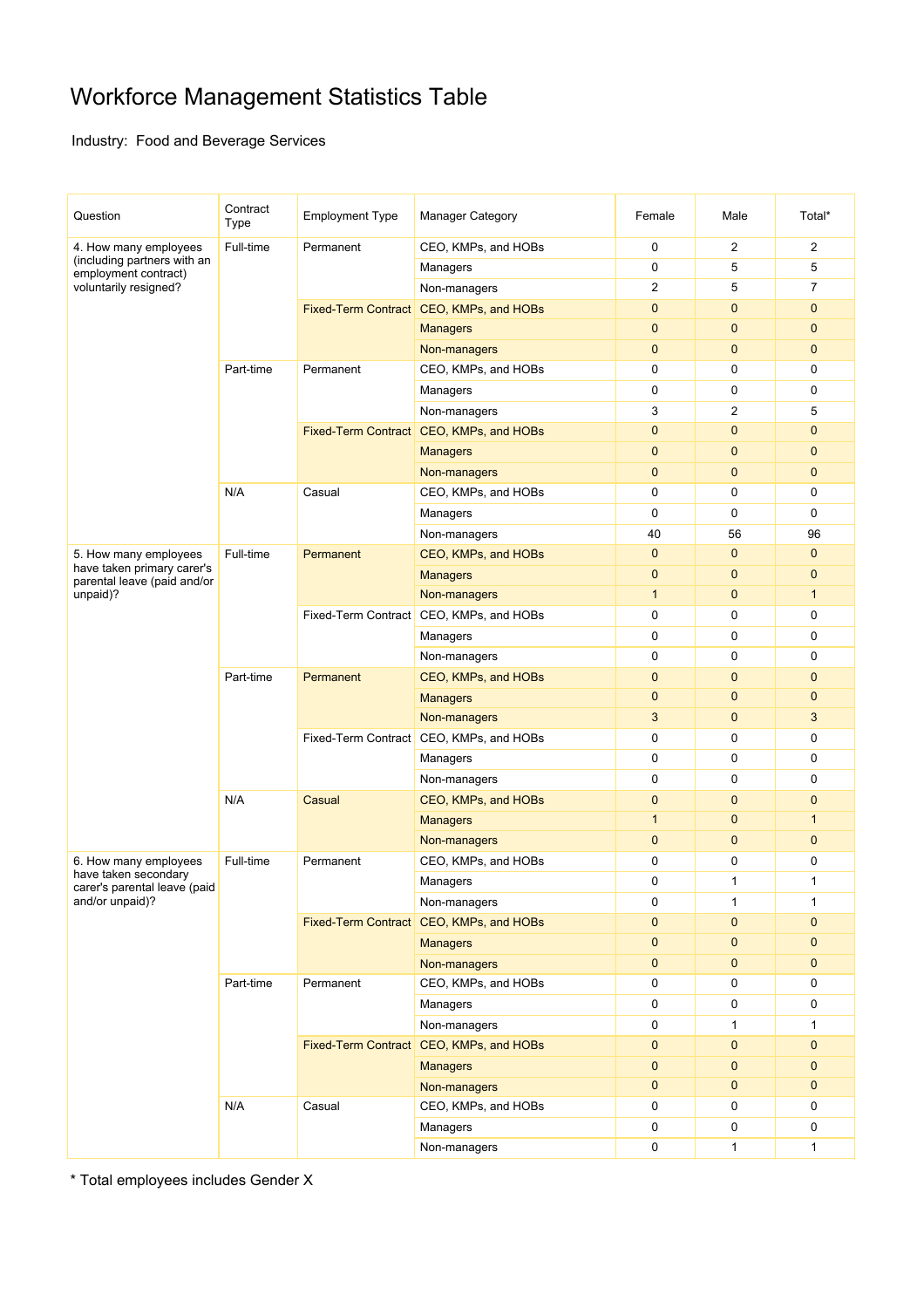## Workforce Management Statistics Table

Industry: Food and Beverage Services

| Question                                                                                              | Contract<br>Type | <b>Employment Type</b>                  | <b>Manager Category</b>                 | Female                    | Male           | Total*                      |
|-------------------------------------------------------------------------------------------------------|------------------|-----------------------------------------|-----------------------------------------|---------------------------|----------------|-----------------------------|
| 4. How many employees<br>(including partners with an<br>employment contract)<br>voluntarily resigned? | Full-time        | Permanent                               | CEO, KMPs, and HOBs                     | $\mathbf 0$               | $\overline{2}$ | $\overline{2}$              |
|                                                                                                       |                  |                                         | Managers                                | 0                         | 5              | 5                           |
|                                                                                                       |                  |                                         | Non-managers                            | $\overline{2}$            | 5              | 7                           |
|                                                                                                       |                  |                                         | Fixed-Term Contract CEO, KMPs, and HOBs | $\mathbf{0}$              | $\mathbf{0}$   | $\mathbf{0}$                |
|                                                                                                       |                  |                                         | <b>Managers</b>                         | $\mathbf{0}$              | $\mathbf{0}$   | $\mathbf{0}$                |
|                                                                                                       |                  |                                         | Non-managers                            | $\mathbf 0$               | $\mathbf{0}$   | $\mathbf 0$                 |
|                                                                                                       | Part-time        | Permanent                               | CEO, KMPs, and HOBs                     | $\pmb{0}$                 | $\mathbf 0$    | 0                           |
|                                                                                                       |                  |                                         | Managers                                | 0                         | 0              | 0                           |
|                                                                                                       |                  |                                         | Non-managers                            | 3                         | $\overline{2}$ | 5                           |
|                                                                                                       |                  |                                         | Fixed-Term Contract CEO, KMPs, and HOBs | $\mathbf 0$               | $\mathbf{0}$   | $\mathbf{0}$                |
|                                                                                                       |                  |                                         | <b>Managers</b>                         | $\mathbf 0$               | $\mathbf{0}$   | $\mathbf{0}$                |
|                                                                                                       |                  |                                         | Non-managers                            | $\mathbf 0$               | $\mathbf{0}$   | $\mathbf{0}$                |
|                                                                                                       | N/A              | Casual                                  | CEO, KMPs, and HOBs                     | 0                         | $\mathbf 0$    | 0                           |
|                                                                                                       |                  |                                         | Managers                                | $\mathbf 0$               | $\mathbf 0$    | $\mathbf 0$                 |
|                                                                                                       |                  |                                         | Non-managers                            | 40                        | 56             | 96                          |
| 5. How many employees                                                                                 | Full-time        | Permanent                               | CEO, KMPs, and HOBs                     | $\mathbf 0$               | $\mathbf{0}$   | $\mathbf{0}$                |
| have taken primary carer's                                                                            |                  |                                         | <b>Managers</b>                         | $\mathbf 0$               | $\mathbf{0}$   | $\mathbf{0}$                |
| parental leave (paid and/or<br>unpaid)?                                                               |                  |                                         | Non-managers                            | $\mathbf{1}$              | $\mathbf{0}$   | $\mathbf{1}$                |
|                                                                                                       |                  |                                         | Fixed-Term Contract CEO, KMPs, and HOBs | $\mathbf 0$               | $\mathbf 0$    | $\mathbf 0$                 |
|                                                                                                       |                  |                                         | Managers                                | 0                         | 0              | 0                           |
|                                                                                                       |                  |                                         | Non-managers                            | $\pmb{0}$                 | $\mathbf 0$    | $\mathbf 0$                 |
|                                                                                                       | Part-time        | Permanent                               | CEO, KMPs, and HOBs                     | $\mathbf 0$               | $\mathbf{0}$   | $\mathbf{0}$                |
|                                                                                                       |                  |                                         | <b>Managers</b>                         | $\mathbf 0$               | $\mathbf{0}$   | $\mathbf{0}$                |
|                                                                                                       |                  |                                         | Non-managers                            | 3                         | $\mathbf 0$    | 3                           |
|                                                                                                       |                  | Fixed-Term Contract CEO, KMPs, and HOBs |                                         | 0                         | 0              | 0                           |
|                                                                                                       |                  |                                         | Managers                                | $\pmb{0}$                 | 0              | 0                           |
|                                                                                                       |                  |                                         | Non-managers                            | $\mathbf 0$               | $\mathbf 0$    | $\mathbf 0$                 |
|                                                                                                       | N/A              | Casual                                  | CEO, KMPs, and HOBs                     | $\mathbf{0}$              | $\mathbf{0}$   | $\mathbf{0}$                |
|                                                                                                       |                  |                                         | <b>Managers</b>                         | $\mathbf{1}$              | $\mathbf{0}$   | $\mathbf 1$                 |
|                                                                                                       |                  |                                         | Non-managers                            | $\mathbf{0}$              | $\mathbf{0}$   | $\mathbf{0}$                |
| 6. How many employees                                                                                 | Full-time        | Permanent                               | CEO, KMPs, and HOBs                     | 0                         | 0              | 0                           |
| have taken secondary<br>carer's parental leave (paid<br>and/or unpaid)?                               |                  |                                         | Managers                                | 0                         | $\mathbf{1}$   | 1                           |
|                                                                                                       |                  |                                         | Non-managers                            | 0                         | $\mathbf{1}$   | $\mathbf{1}$                |
|                                                                                                       |                  | Fixed-Term Contract CEO, KMPs, and HOBs |                                         | $\mathbf{0}$              | $\mathbf{0}$   | $\mathbf 0$                 |
|                                                                                                       |                  |                                         | <b>Managers</b>                         | $\mathbf{0}$              | $\mathbf{0}$   | $\mathbf 0$                 |
|                                                                                                       |                  |                                         | Non-managers                            | $\pmb{0}$                 | $\mathbf 0$    | $\mathbf 0$                 |
|                                                                                                       | Part-time        | Permanent                               | CEO, KMPs, and HOBs                     | 0                         | 0              | 0                           |
|                                                                                                       |                  |                                         | Managers                                | 0                         | 0              | 0                           |
|                                                                                                       |                  |                                         | Non-managers                            | 0                         | $\mathbf{1}$   | $\mathbf{1}$                |
|                                                                                                       |                  |                                         | Fixed-Term Contract CEO, KMPs, and HOBs | $\pmb{0}$                 | $\mathbf{0}$   | $\mathbf 0$                 |
|                                                                                                       |                  |                                         |                                         |                           | $\mathbf{0}$   |                             |
|                                                                                                       |                  |                                         | <b>Managers</b>                         | $\pmb{0}$<br>$\mathbf{0}$ | $\mathbf{0}$   | $\mathbf{0}$<br>$\mathbf 0$ |
|                                                                                                       |                  | Casual                                  | Non-managers                            |                           |                |                             |
|                                                                                                       | N/A              |                                         | CEO, KMPs, and HOBs                     | 0                         | 0              | 0                           |
|                                                                                                       |                  |                                         | Managers                                | 0                         | 0              | 0                           |
|                                                                                                       |                  |                                         | Non-managers                            | 0                         | $\mathbf{1}$   | 1                           |

\* Total employees includes Gender X